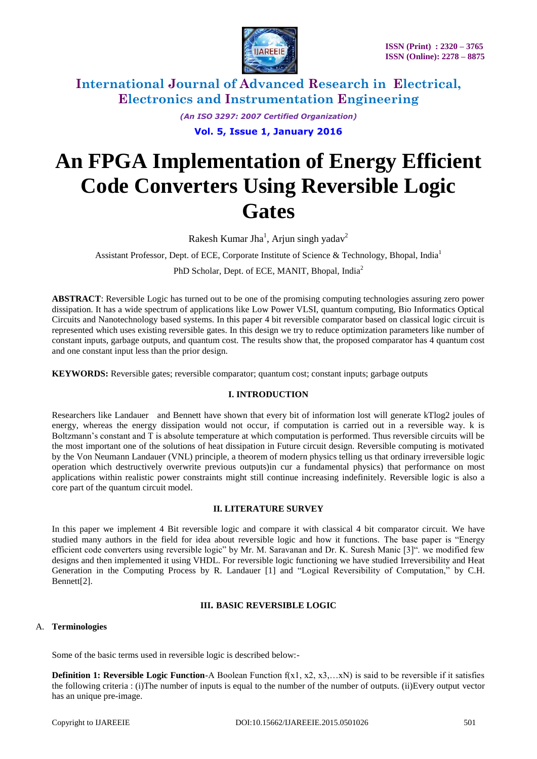

*(An ISO 3297: 2007 Certified Organization)*

**Vol. 5, Issue 1, January 2016**

# **An FPGA Implementation of Energy Efficient Code Converters Using Reversible Logic Gates**

Rakesh Kumar Jha<sup>1</sup>, Arjun singh yadav<sup>2</sup>

Assistant Professor, Dept. of ECE, Corporate Institute of Science & Technology, Bhopal, India<sup>1</sup>

PhD Scholar, Dept. of ECE, MANIT, Bhopal, India<sup>2</sup>

**ABSTRACT**: Reversible Logic has turned out to be one of the promising computing technologies assuring zero power dissipation. It has a wide spectrum of applications like Low Power VLSI, quantum computing, Bio Informatics Optical Circuits and Nanotechnology based systems. In this paper 4 bit reversible comparator based on classical logic circuit is represented which uses existing reversible gates. In this design we try to reduce optimization parameters like number of constant inputs, garbage outputs, and quantum cost. The results show that, the proposed comparator has 4 quantum cost and one constant input less than the prior design.

**KEYWORDS:** Reversible gates; reversible comparator; quantum cost; constant inputs; garbage outputs

#### **I. INTRODUCTION**

Researchers like Landauer and Bennett have shown that every bit of information lost will generate kTlog2 joules of energy, whereas the energy dissipation would not occur, if computation is carried out in a reversible way. k is Boltzmann's constant and T is absolute temperature at which computation is performed. Thus reversible circuits will be the most important one of the solutions of heat dissipation in Future circuit design. Reversible computing is motivated by the Von Neumann Landauer (VNL) principle, a theorem of modern physics telling us that ordinary irreversible logic operation which destructively overwrite previous outputs)in cur a fundamental physics) that performance on most applications within realistic power constraints might still continue increasing indefinitely. Reversible logic is also a core part of the quantum circuit model.

#### **II. LITERATURE SURVEY**

In this paper we implement 4 Bit reversible logic and compare it with classical 4 bit comparator circuit. We have studied many authors in the field for idea about reversible logic and how it functions. The base paper is "Energy efficient code converters using reversible logic" by Mr. M. Saravanan and Dr. K. Suresh Manic [3]". we modified few designs and then implemented it using VHDL. For reversible logic functioning we have studied Irreversibility and Heat Generation in the Computing Process by R. Landauer [1] and "Logical Reversibility of Computation," by C.H. Bennett[2].

## **III. BASIC REVERSIBLE LOGIC**

## A. **Terminologies**

Some of the basic terms used in reversible logic is described below:-

**Definition 1: Reversible Logic Function-A Boolean Function**  $f(x1, x2, x3,...xN)$  **is said to be reversible if it satisfies** the following criteria : (i)The number of inputs is equal to the number of the number of outputs. (ii)Every output vector has an unique pre-image.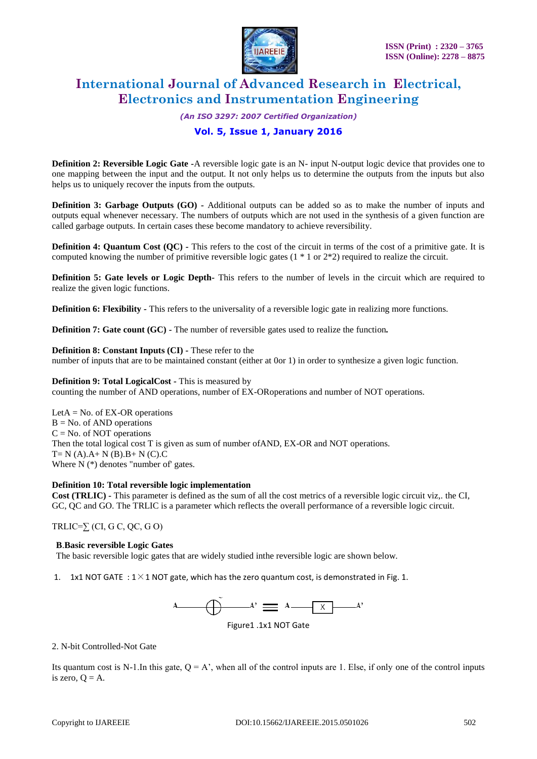

*(An ISO 3297: 2007 Certified Organization)*

## **Vol. 5, Issue 1, January 2016**

**Definition 2: Reversible Logic Gate** *-A* reversible logic gate is an N- input N-output logic device that provides one to one mapping between the input and the output. It not only helps us to determine the outputs from the inputs but also helps us to uniquely recover the inputs from the outputs.

**Definition 3: Garbage Outputs (GO)** *-* Additional outputs can be added so as to make the number of inputs and outputs equal whenever necessary. The numbers of outputs which are not used in the synthesis of a given function are called garbage outputs. In certain cases these become mandatory to achieve reversibility.

**Definition 4: Quantum Cost (QC) - This refers to the cost of the circuit in terms of the cost of a primitive gate. It is** computed knowing the number of primitive reversible logic gates (1 \* 1 or 2\*2) required to realize the circuit.

**Definition 5: Gate levels or Logic Depth***-* This refers to the number of levels in the circuit which are required to realize the given logic functions.

**Definition 6: Flexibility -** This refers to the universality of a reversible logic gate in realizing more functions.

**Definition 7: Gate count (GC)** *-* The number of reversible gates used to realize the function*.*

**Definition 8: Constant Inputs (CI)** *-* These refer to the

number of inputs that are to be maintained constant (either at 0or 1) in order to synthesize a given logic function.

**Definition 9: Total LogicalCost** *-* This is measured by

counting the number of AND operations, number of EX-ORoperations and number of NOT operations.

LetA  $=$  No. of EX-OR operations  $B = No$ . of AND operations  $C = No$ . of NOT operations Then the total logical cost T is given as sum of number ofAND, EX-OR and NOT operations.  $T=N(A).A+N(B).B+N(C).C$ Where  $N$  ( $*$ ) denotes "number of" gates.

#### **Definition 10: Total reversible logic implementation**

**Cost (TRLIC)** *-* This parameter is defined as the sum of all the cost metrics of a reversible logic circuit viz,. the CI, GC, QC and GO. The TRLIC is a parameter which reflects the overall performance of a reversible logic circuit.

TRLIC= $\sum$  (CI, G C, QC, G O)

#### **B**.**Basic reversible Logic Gates**

The basic reversible logic gates that are widely studied inthe reversible logic are shown below.

1. 1x1 NOT GATE :  $1 \times 1$  NOT gate, which has the zero quantum cost, is demonstrated in Fig. 1.



Figure1 .1x1 NOT Gate

#### 2. N-bit Controlled-Not Gate

Its quantum cost is N-1.In this gate,  $Q = A'$ , when all of the control inputs are 1. Else, if only one of the control inputs is zero,  $Q = A$ .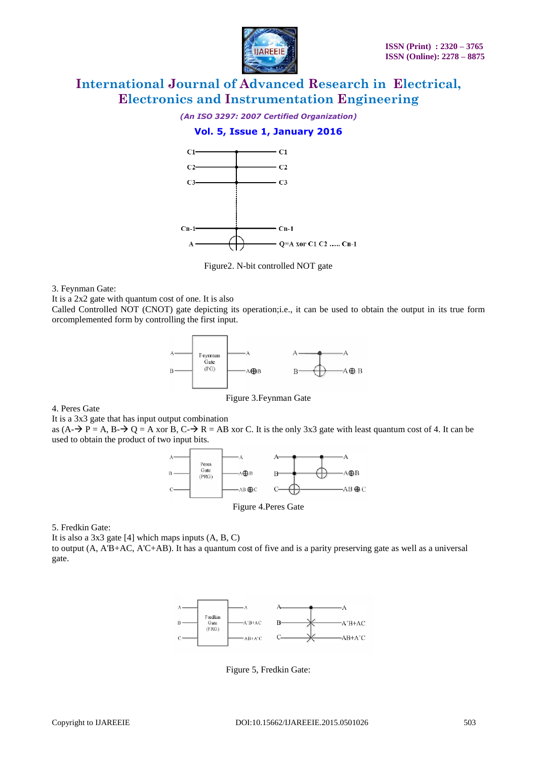

*(An ISO 3297: 2007 Certified Organization)*

## **Vol. 5, Issue 1, January 2016**



Figure2. N-bit controlled NOT gate

3. Feynman Gate:

It is a 2x2 gate with quantum cost of one. It is also

Called Controlled NOT (CNOT) gate depicting its operation;i.e., it can be used to obtain the output in its true form orcomplemented form by controlling the first input.



Figure 3.Feynman Gate

4. Peres Gate

It is a 3x3 gate that has input output combination

as  $(A - \rightarrow P = A, B - \rightarrow Q = A$  xor B,  $C - \rightarrow R = AB$  xor C. It is the only 3x3 gate with least quantum cost of 4. It can be used to obtain the product of two input bits.



Figure 4.Peres Gate

5. Fredkin Gate:

It is also a  $3x3$  gate [4] which maps inputs  $(A, B, C)$ 

to output (A, A'B+AC, A'C+AB). It has a quantum cost of five and is a parity preserving gate as well as a universal gate.



Figure 5, Fredkin Gate: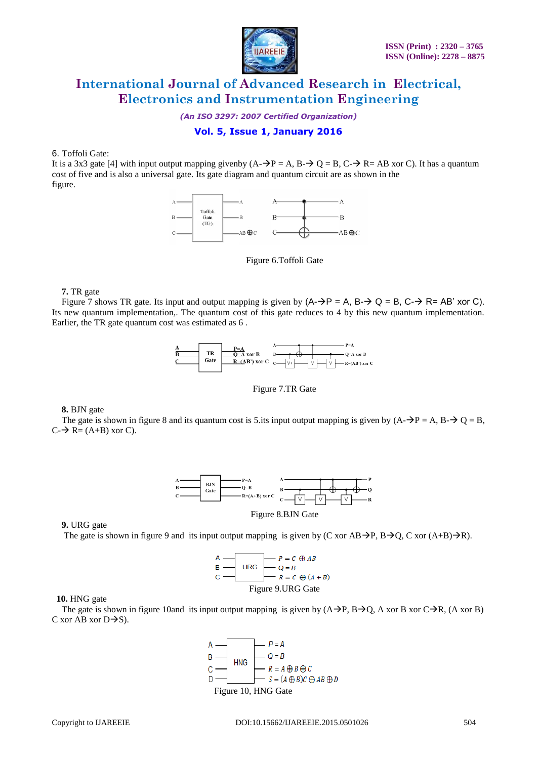

*(An ISO 3297: 2007 Certified Organization)*

# **Vol. 5, Issue 1, January 2016**

6. Toffoli Gate:

It is a 3x3 gate [4] with input output mapping given by  $(A - \rightarrow P = A, B - \rightarrow Q = B, C - \rightarrow R = AB$  xor C). It has a quantum cost of five and is also a universal gate. Its gate diagram and quantum circuit are as shown in the figure.



Figure 6.Toffoli Gate

**7.** TR gate

Figure 7 shows TR gate. Its input and output mapping is given by  $(A \rightarrow P = A, B \rightarrow Q = B, C \rightarrow R = AB'$  xor C). Its new quantum implementation,. The quantum cost of this gate reduces to 4 by this new quantum implementation. Earlier, the TR gate quantum cost was estimated as 6 .



Figure 7.TR Gate

**8.** BJN gate

The gate is shown in figure 8 and its quantum cost is 5.its input output mapping is given by  $(A-\rightarrow P = A, B \rightarrow O = B,$  $C \rightarrow Re = (A+B)$  xor C).



Figure 8.BJN Gate

**9.** URG gate

The gate is shown in figure 9 and its input output mapping is given by (C xor AB $\rightarrow$ P, B $\rightarrow$ Q, C xor (A+B) $\rightarrow$ R).

A  
\nB  
\n
$$
Q = B
$$
  
\nC  
\nFigure 9.URG Gate

 **10.** HNG gate

The gate is shown in figure 10and its input output mapping is given by  $(A\rightarrow P, B\rightarrow Q, A$  xor B xor C $\rightarrow R$ , (A xor B) C xor AB xor  $D\rightarrow S$ ).

Figure 10, HNG Gate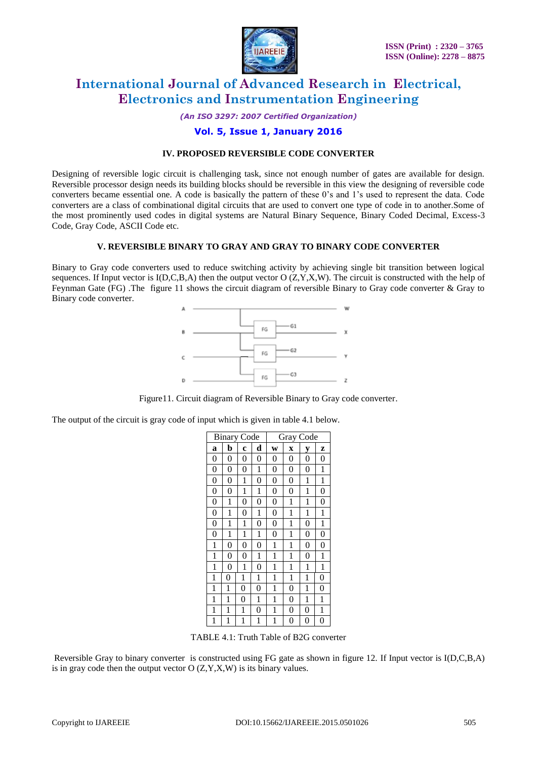

*(An ISO 3297: 2007 Certified Organization)*

## **Vol. 5, Issue 1, January 2016**

#### **IV. PROPOSED REVERSIBLE CODE CONVERTER**

Designing of reversible logic circuit is challenging task, since not enough number of gates are available for design. Reversible processor design needs its building blocks should be reversible in this view the designing of reversible code converters became essential one. A code is basically the pattern of these 0's and 1's used to represent the data. Code converters are a class of combinational digital circuits that are used to convert one type of code in to another.Some of the most prominently used codes in digital systems are Natural Binary Sequence, Binary Coded Decimal, Excess-3 Code, Gray Code, ASCII Code etc.

#### **V. REVERSIBLE BINARY TO GRAY AND GRAY TO BINARY CODE CONVERTER**

Binary to Gray code converters used to reduce switching activity by achieving single bit transition between logical sequences. If Input vector is  $I(D, C, B, A)$  then the output vector  $O(Z, Y, X, W)$ . The circuit is constructed with the help of Feynman Gate (FG) .The figure 11 shows the circuit diagram of reversible Binary to Gray code converter & Gray to Binary code converter.



Figure11. Circuit diagram of Reversible Binary to Gray code converter.

The output of the circuit is gray code of input which is given in table 4.1 below.

| <b>Binary Code</b> |                |                | Gray Code      |                |                         |                  |                |
|--------------------|----------------|----------------|----------------|----------------|-------------------------|------------------|----------------|
| a                  | b              | Ċ              | d              | W              | $\overline{\mathbf{X}}$ | V                | Z              |
| $\boldsymbol{0}$   | 0              | 0              | 0              | 0              | 0                       | 0                | 0              |
| $\boldsymbol{0}$   | 0              | 0              | 1              | 0              | 0                       | 0                | 1              |
| $\boldsymbol{0}$   | 0              | 1              | $\overline{0}$ | $\overline{0}$ | $\overline{0}$          | 1                | 1              |
| $\boldsymbol{0}$   | 0              | 1              | 1              | 0              | $\overline{0}$          | 1                | $\overline{0}$ |
| $\boldsymbol{0}$   | 1              | 0              | 0              | 0              | 1                       | 1                | $\overline{0}$ |
| $\overline{0}$     | 1              | 0              | 1              | 0              | 1                       | 1                | 1              |
| $\overline{0}$     | 1              | 1              | 0              | $\overline{0}$ | 1                       | $\overline{0}$   | 1              |
| $\overline{0}$     | 1              | 1              | 1              | 0              | 1                       | 0                | 0              |
| $\mathbf{1}$       | $\overline{0}$ | $\overline{0}$ | 0              | 1              | 1                       | $\overline{0}$   | $\overline{0}$ |
| 1                  | $\overline{0}$ | 0              | 1              | 1              | 1                       | 0                | 1              |
| $\mathbf{1}$       | $\overline{0}$ | 1              | $\overline{0}$ | 1              | 1                       | 1                | 1              |
| 1                  | 0              | 1              | 1              | 1              | 1                       | 1                | 0              |
| 1                  | 1              | 0              | 0              | 1              | 0                       | 1                | 0              |
| 1                  | 1              | 0              | 1              | 1              | 0                       | 1                | 1              |
| 1                  | 1              | 1              | 0              | 1              | 0                       | 0                | 1              |
| 1                  | 1              | 1              | 1              | 1              | 0                       | $\boldsymbol{0}$ | 0              |

TABLE 4.1: Truth Table of B2G converter

Reversible Gray to binary converter is constructed using FG gate as shown in figure 12. If Input vector is I(D,C,B,A) is in gray code then the output vector  $O(Z, Y, X, W)$  is its binary values.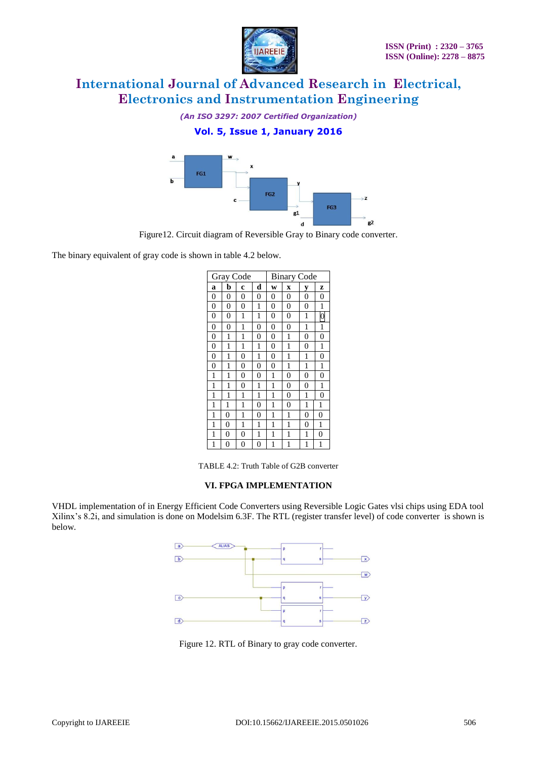

*(An ISO 3297: 2007 Certified Organization)*

# **Vol. 5, Issue 1, January 2016**



Figure12. Circuit diagram of Reversible Gray to Binary code converter.

The binary equivalent of gray code is shown in table 4.2 below.

| Gray Code        |                |                |                | <b>Binary Code</b> |                         |                |                |
|------------------|----------------|----------------|----------------|--------------------|-------------------------|----------------|----------------|
| a                | b              | Ċ              | d              | W                  | $\overline{\mathbf{X}}$ | y              | z              |
| $\boldsymbol{0}$ | 0              | 0              | 0              | 0                  | 0                       | 0              | 0              |
| $\mathbf{0}$     | 0              | 0              | 1              | 0                  | $\overline{0}$          | 0              | 1              |
| $\boldsymbol{0}$ | 0              | 1              | 1              | 0                  | $\overline{0}$          | 1              | $\mathbf{0}$   |
| $\boldsymbol{0}$ | $\overline{0}$ | 1              | 0              | $\overline{0}$     | $\overline{0}$          | 1              | 1              |
| $\boldsymbol{0}$ | 1              | 1              | 0              | 0                  | 1                       | 0              | $\overline{0}$ |
| $\mathbf{0}$     | 1              | 1              | 1              | 0                  | 1                       | 0              | 1              |
| $\mathbf{0}$     | 1              | 0              | 1              | $\overline{0}$     | 1                       | 1              | $\overline{0}$ |
| $\mathbf{0}$     | 1              | $\overline{0}$ | 0              | $\overline{0}$     | 1                       | 1              | 1              |
| 1                | 1              | 0              | 0              | 1                  | 0                       | 0              | $\overline{0}$ |
| 1                | 1              | $\overline{0}$ | 1              | 1                  | $\overline{0}$          | $\overline{0}$ | 1              |
| 1                | 1              | 1              | 1              | 1                  | $\overline{0}$          | 1              | $\overline{0}$ |
| 1                | 1              | 1              | $\overline{0}$ | 1                  | $\overline{0}$          | 1              | 1              |
| 1                | 0              | 1              | 0              | 1                  | 1                       | 0              | 0              |
| 1                | 0              | 1              | 1              | 1                  | 1                       | 0              | 1              |
| 1                | 0              | 0              | 1              | 1                  | 1                       | 1              | 0              |
| 1                | 0              | 0              | 0              | 1                  | 1                       | 1              | 1              |

TABLE 4.2: Truth Table of G2B converter

#### **VI. FPGA IMPLEMENTATION**

VHDL implementation of in Energy Efficient Code Converters using Reversible Logic Gates vlsi chips using EDA tool Xilinx's 8.2i, and simulation is done on Modelsim 6.3F. The RTL (register transfer level) of code converter is shown is below.



Figure 12. RTL of Binary to gray code converter.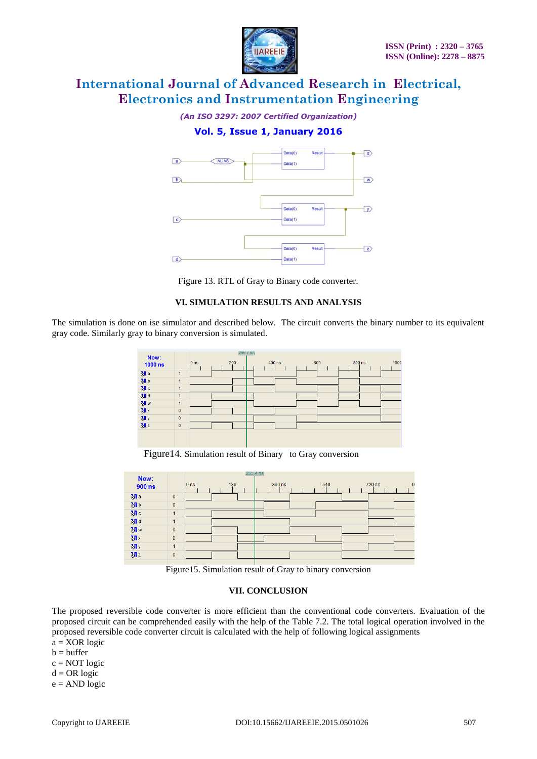

*(An ISO 3297: 2007 Certified Organization)*

## **Vol. 5, Issue 1, January 2016**



Figure 13. RTL of Gray to Binary code converter.

#### **VI. SIMULATION RESULTS AND ANALYSIS**

The simulation is done on ise simulator and described below. The circuit converts the binary number to its equivalent gray code. Similarly gray to binary conversion is simulated.



Figure14. Simulation result of Binary to Gray conversion

| Now:<br>900 ns        |              | 180<br>0 <sub>ns</sub> | 265.4 ns | 360 ns | 540 | 720 ns | 9 |
|-----------------------|--------------|------------------------|----------|--------|-----|--------|---|
| M <sub>a</sub>        | $\bf{0}$     |                        |          |        |     |        |   |
| <b>M</b> <sub>b</sub> | $\mathbf{0}$ |                        |          |        |     |        |   |
| M <sub>c</sub>        |              |                        |          |        |     |        |   |
| श्चा व                |              |                        |          |        |     |        |   |
| <b>M</b> <sub>w</sub> | $\mathbf{0}$ |                        |          |        |     |        |   |
| $\partial x$          | $\mathbf{0}$ |                        |          |        |     |        |   |
| <b>My</b>             | 1            |                        |          |        |     |        |   |
| 31z                   | $\mathbf{0}$ |                        |          |        |     |        |   |

Figure15. Simulation result of Gray to binary conversion

## **VII. CONCLUSION**

The proposed reversible code converter is more efficient than the conventional code converters. Evaluation of the proposed circuit can be comprehended easily with the help of the Table 7.2. The total logical operation involved in the proposed reversible code converter circuit is calculated with the help of following logical assignments

 $a = XOR logic$ 

- $b = buffer$
- $c = NOT logic$
- $d = OR$  logic

 $e = AND logic$